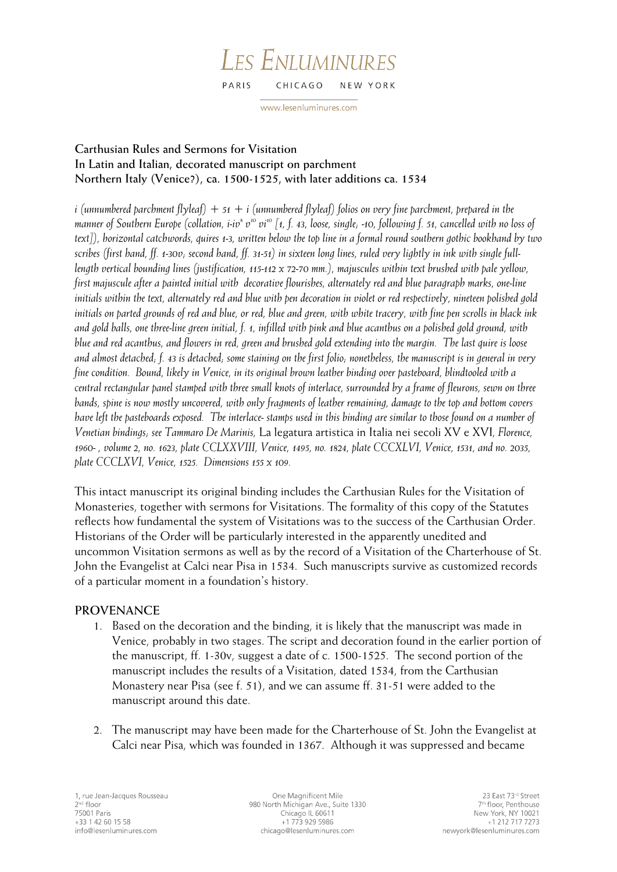#### LES ENLUMINURES PARIS CHICAGO NEW YORK

www.lesenluminures.com

# **Carthusian Rules and Sermons for Visitation In Latin and Italian, decorated manuscript on parchment Northern Italy (Venice?), ca. 1500-1525, with later additions ca. 1534**

*i (unnumbered parchment flyleaf) + 51 + i (unnumbered flyleaf) folios on very fine parchment, prepared in the*  manner of Southern Europe (collation, i-iv<sup>s</sup> v<sup>10</sup> vi<sup>10</sup> [1, f. 43, loose, single, -10, following f. 51, cancelled with no loss of *text]), horizontal catchwords, quires 1-3, written below the top line in a formal round southern gothic bookhand by two scribes (first hand, ff. 1-30v; second hand, ff. 31-51) in sixteen long lines, ruled very lightly in ink with single fulllength vertical bounding lines (justification, 115-112 x 72-70 mm.), majuscules within text brushed with pale yellow, first majuscule after a painted initial with decorative flourishes, alternately red and blue paragraph marks, one-line initials within the text, alternately red and blue with pen decoration in violet or red respectively, nineteen polished gold initials on parted grounds of red and blue, or red, blue and green, with white tracery, with fine pen scrolls in black ink and gold balls, one three-line green initial, f. 1, infilled with pink and blue acanthus on a polished gold ground, with blue and red acanthus, and flowers in red, green and brushed gold extending into the margin. The last quire is loose and almost detached; f. 43 is detached; some staining on the first folio; nonetheless, the manuscript is in general in very fine condition. Bound, likely in Venice, in its original brown leather binding over pasteboard, blindtooled with a central rectangular panel stamped with three small knots of interlace, surrounded by a frame of fleurons, sewn on three bands, spine is now mostly uncovered, with only fragments of leather remaining, damage to the top and bottom covers have left the pasteboards exposed. The interlace- stamps used in this binding are similar to those found on a number of Venetian bindings; see Tammaro De Marinis,* La legatura artistica in Italia nei secoli XV e XVI*, Florence, 1960- , volume 2, no. 1623, plate CCLXXVIII, Venice, 1495, no. 1824, plate CCCXLVI, Venice, 1531, and no. 2035, plate CCCLXVI, Venice, 1525. Dimensions 155 x 109.*

This intact manuscript its original binding includes the Carthusian Rules for the Visitation of Monasteries, together with sermons for Visitations. The formality of this copy of the Statutes reflects how fundamental the system of Visitations was to the success of the Carthusian Order. Historians of the Order will be particularly interested in the apparently unedited and uncommon Visitation sermons as well as by the record of a Visitation of the Charterhouse of St. John the Evangelist at Calci near Pisa in 1534. Such manuscripts survive as customized records of a particular moment in a foundation's history.

## **PROVENANCE**

- 1. Based on the decoration and the binding, it is likely that the manuscript was made in Venice, probably in two stages. The script and decoration found in the earlier portion of the manuscript, ff. 1-30v, suggest a date of c. 1500-1525. The second portion of the manuscript includes the results of a Visitation, dated 1534, from the Carthusian Monastery near Pisa (see f. 51), and we can assume ff. 31-51 were added to the manuscript around this date.
- 2. The manuscript may have been made for the Charterhouse of St. John the Evangelist at Calci near Pisa, which was founded in 1367. Although it was suppressed and became

One Magnificent Mile 980 North Michigan Ave., Suite 1330 Chicago IL 60611 +1 773 929 5986 chicago@lesenluminures.com

23 East 73rd Street 7<sup>th</sup> floor, Penthouse New York, NY 10021 +1 212 717 7273 newyork@lesenluminures.com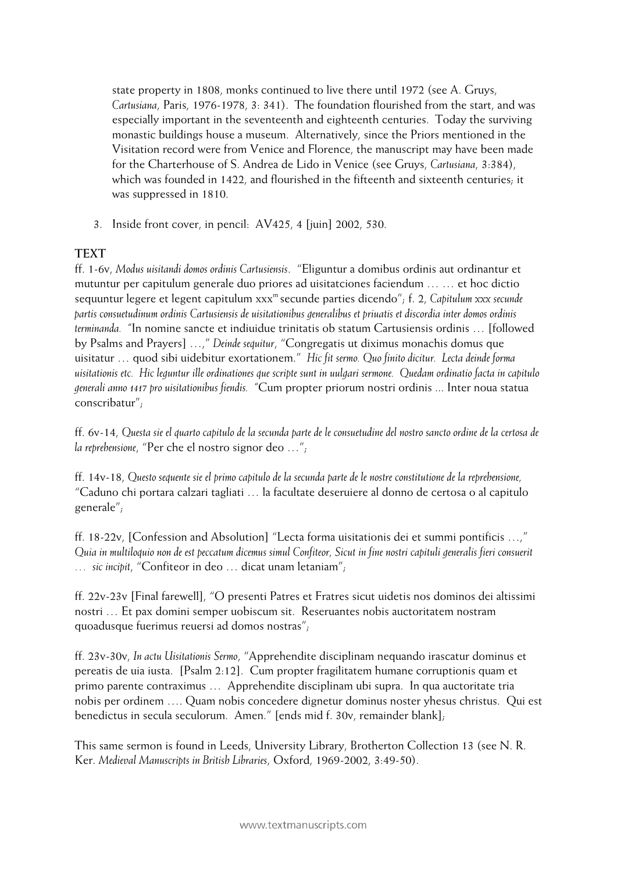state property in 1808, monks continued to live there until 1972 (see A. Gruys, *Cartusiana*, Paris, 1976-1978, 3: 341). The foundation flourished from the start, and was especially important in the seventeenth and eighteenth centuries. Today the surviving monastic buildings house a museum. Alternatively, since the Priors mentioned in the Visitation record were from Venice and Florence, the manuscript may have been made for the Charterhouse of S. Andrea de Lido in Venice (see Gruys, *Cartusiana*, 3:384), which was founded in 1422, and flourished in the fifteenth and sixteenth centuries; it was suppressed in 1810.

3. Inside front cover, in pencil: AV425, 4 [juin] 2002, 530.

## **TEXT**

ff. 1-6v, *Modus uisitandi domos ordinis Cartusiensis*. "Eliguntur a domibus ordinis aut ordinantur et mutuntur per capitulum generale duo priores ad uisitatciones faciendum … … et hoc dictio sequuntur legere et legent capitulum xxx<sup>m</sup> secunde parties dicendo"; f. 2, *Capitulum xxx secunde partis consuetudinum ordinis Cartusiensis de uisitationibus generalibus et priuatis et discordia inter domos ordinis terminanda. "*In nomine sancte et indiuidue trinitatis ob statum Cartusiensis ordinis … [followed by Psalms and Prayers] …," *Deinde sequitur*, "Congregatis ut diximus monachis domus que uisitatur … quod sibi uidebitur exortationem." *Hic fit sermo. Quo finito dicitur. Lecta deinde forma uisitationis etc. Hic leguntur ille ordinationes que scripte sunt in uulgari sermone. Quedam ordinatio facta in capitulo generali anno 1417 pro uisitationibus fiendis. "*Cum propter priorum nostri ordinis ... Inter noua statua conscribatur";

ff. 6v-14, *Questa sie el quarto capitulo de la secunda parte de le consuetudine del nostro sancto ordine de la certosa de la reprehensione*, "Per che el nostro signor deo …";

ff. 14v-18, *Questo sequente sie el primo capitulo de la secunda parte de le nostre constitutione de la reprehensione,* "Caduno chi portara calzari tagliati … la facultate deseruiere al donno de certosa o al capitulo generale";

ff. 18-22v, [Confession and Absolution] "Lecta forma uisitationis dei et summi pontificis …," *Quia in multiloquio non de est peccatum dicemus simul Confiteor, Sicut in fine nostri capituli generalis fieri consuerit … sic incipit*, "Confiteor in deo … dicat unam letaniam";

ff. 22v-23v [Final farewell], "O presenti Patres et Fratres sicut uidetis nos dominos dei altissimi nostri … Et pax domini semper uobiscum sit. Reseruantes nobis auctoritatem nostram quoadusque fuerimus reuersi ad domos nostras";

ff. 23v-30v, *In actu Uisitationis Sermo*, "Apprehendite disciplinam nequando irascatur dominus et pereatis de uia iusta. [Psalm 2:12]. Cum propter fragilitatem humane corruptionis quam et primo parente contraximus … Apprehendite disciplinam ubi supra. In qua auctoritate tria nobis per ordinem …. Quam nobis concedere dignetur dominus noster yhesus christus. Qui est benedictus in secula seculorum. Amen." [ends mid f. 30v, remainder blank];

This same sermon is found in Leeds, University Library, Brotherton Collection 13 (see N. R. Ker. *Medieval Manuscripts in British Libraries*, Oxford, 1969-2002, 3:49-50).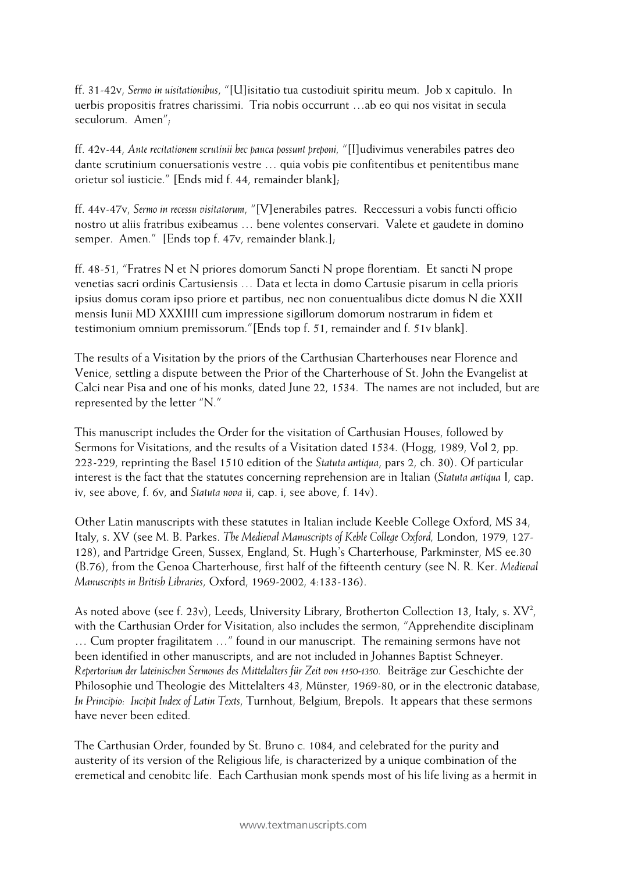ff. 31-42v, *Sermo in uisitationibus*, "[U]isitatio tua custodiuit spiritu meum. Job x capitulo. In uerbis propositis fratres charissimi. Tria nobis occurrunt …ab eo qui nos visitat in secula seculorum. Amen";

ff. 42v-44, *Ante recitationem scrutinii hec pauca possunt preponi,* "[I]udivimus venerabiles patres deo dante scrutinium conuersationis vestre … quia vobis pie confitentibus et penitentibus mane orietur sol iusticie." [Ends mid f. 44, remainder blank];

ff. 44v-47v, *Sermo in recessu visitatorum*, "[V]enerabiles patres. Reccessuri a vobis functi officio nostro ut aliis fratribus exibeamus … bene volentes conservari. Valete et gaudete in domino semper. Amen." [Ends top f. 47v, remainder blank.];

ff. 48-51, "Fratres N et N priores domorum Sancti N prope florentiam. Et sancti N prope venetias sacri ordinis Cartusiensis … Data et lecta in domo Cartusie pisarum in cella prioris ipsius domus coram ipso priore et partibus, nec non conuentualibus dicte domus N die XXII mensis Iunii MD XXXIIII cum impressione sigillorum domorum nostrarum in fidem et testimonium omnium premissorum."[Ends top f. 51, remainder and f. 51v blank].

The results of a Visitation by the priors of the Carthusian Charterhouses near Florence and Venice, settling a dispute between the Prior of the Charterhouse of St. John the Evangelist at Calci near Pisa and one of his monks, dated June 22, 1534. The names are not included, but are represented by the letter "N."

This manuscript includes the Order for the visitation of Carthusian Houses, followed by Sermons for Visitations, and the results of a Visitation dated 1534. (Hogg, 1989, Vol 2, pp. 223-229, reprinting the Basel 1510 edition of the *Statuta antiqua*, pars 2, ch. 30). Of particular interest is the fact that the statutes concerning reprehension are in Italian (*Statuta antiqua* I, cap. iv, see above, f. 6v, and *Statuta nova* ii, cap. i, see above, f. 14v).

Other Latin manuscripts with these statutes in Italian include Keeble College Oxford, MS 34, Italy, s. XV (see M. B. Parkes. *The Medieval Manuscripts of Keble College Oxford,* London, 1979, 127- 128), and Partridge Green, Sussex, England, St. Hugh's Charterhouse, Parkminster, MS ee.30 (B.76), from the Genoa Charterhouse, first half of the fifteenth century (see N. R. Ker. *Medieval Manuscripts in British Libraries*, Oxford, 1969-2002, 4:133-136).

As noted above (see f. 23v), Leeds, University Library, Brotherton Collection 13, Italy, s.  $XV^2$ , with the Carthusian Order for Visitation, also includes the sermon, "Apprehendite disciplinam … Cum propter fragilitatem …" found in our manuscript. The remaining sermons have not been identified in other manuscripts, and are not included in Johannes Baptist Schneyer. *Repertorium der lateinischen Sermones des Mittelalters für Zeit von 1150-1350.* Beiträge zur Geschichte der Philosophie und Theologie des Mittelalters 43, Münster, 1969-80, or in the electronic database, *In Principio: Incipit Index of Latin Texts*, Turnhout, Belgium, Brepols. It appears that these sermons have never been edited.

The Carthusian Order, founded by St. Bruno c. 1084, and celebrated for the purity and austerity of its version of the Religious life, is characterized by a unique combination of the eremetical and cenobitc life. Each Carthusian monk spends most of his life living as a hermit in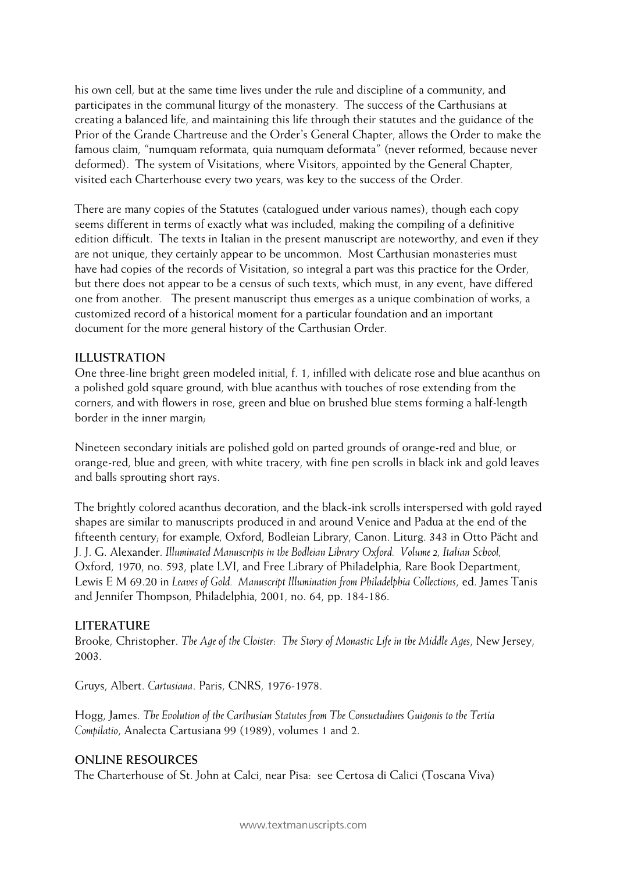his own cell, but at the same time lives under the rule and discipline of a community, and participates in the communal liturgy of the monastery. The success of the Carthusians at creating a balanced life, and maintaining this life through their statutes and the guidance of the Prior of the Grande Chartreuse and the Order's General Chapter, allows the Order to make the famous claim, "numquam reformata, quia numquam deformata" (never reformed, because never deformed). The system of Visitations, where Visitors, appointed by the General Chapter, visited each Charterhouse every two years, was key to the success of the Order.

There are many copies of the Statutes (catalogued under various names), though each copy seems different in terms of exactly what was included, making the compiling of a definitive edition difficult. The texts in Italian in the present manuscript are noteworthy, and even if they are not unique, they certainly appear to be uncommon. Most Carthusian monasteries must have had copies of the records of Visitation, so integral a part was this practice for the Order, but there does not appear to be a census of such texts, which must, in any event, have differed one from another. The present manuscript thus emerges as a unique combination of works, a customized record of a historical moment for a particular foundation and an important document for the more general history of the Carthusian Order.

### **ILLUSTRATION**

One three-line bright green modeled initial, f. 1, infilled with delicate rose and blue acanthus on a polished gold square ground, with blue acanthus with touches of rose extending from the corners, and with flowers in rose, green and blue on brushed blue stems forming a half-length border in the inner margin;

Nineteen secondary initials are polished gold on parted grounds of orange-red and blue, or orange-red, blue and green, with white tracery, with fine pen scrolls in black ink and gold leaves and balls sprouting short rays.

The brightly colored acanthus decoration, and the black-ink scrolls interspersed with gold rayed shapes are similar to manuscripts produced in and around Venice and Padua at the end of the fifteenth century; for example*,* Oxford, Bodleian Library, Canon. Liturg. 343 in Otto Pächt and J. J. G. Alexander. *Illuminated Manuscripts in the Bodleian Library Oxford. Volume 2, Italian School,*  Oxford, 1970, no. 593, plate LVI, and Free Library of Philadelphia, Rare Book Department, Lewis E M 69.20 in *Leaves of Gold. Manuscript Illumination from Philadelphia Collections*, ed. James Tanis and Jennifer Thompson, Philadelphia, 2001, no. 64, pp. 184-186.

### **LITERATURE**

Brooke, Christopher. *The Age of the Cloister: The Story of Monastic Life in the Middle Ages*, New Jersey, 2003.

Gruys, Albert. *Cartusiana*. Paris, CNRS, 1976-1978.

Hogg, James. *The Evolution of the Carthusian Statutes from The Consuetudines Guigonis to the Tertia Compilatio*, Analecta Cartusiana 99 (1989), volumes 1 and 2.

#### **ONLINE RESOURCES**

The Charterhouse of St. John at Calci, near Pisa: see Certosa di Calici (Toscana Viva)